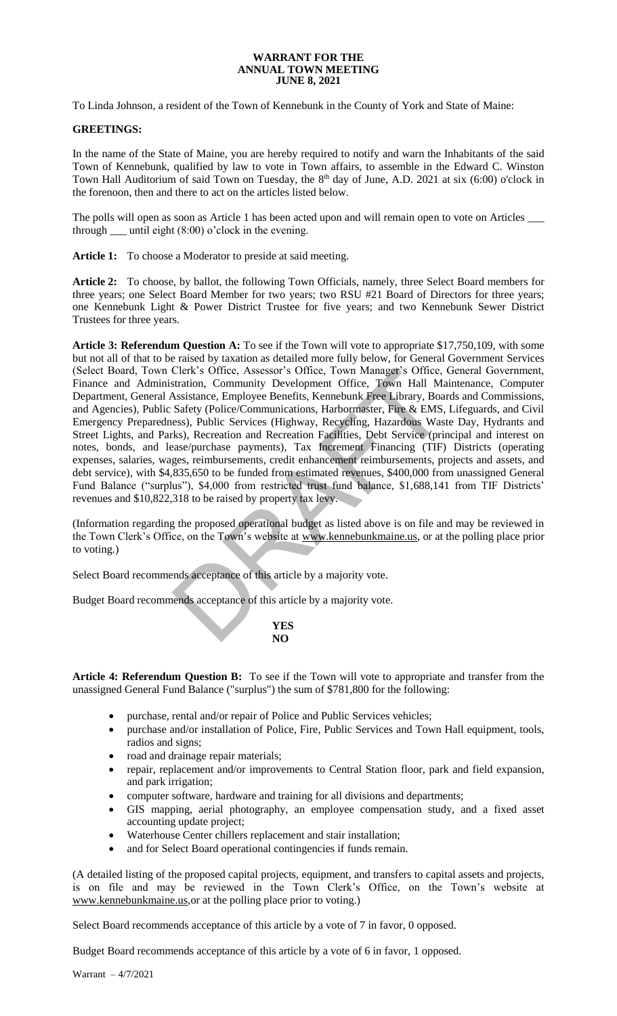## **WARRANT FOR THE ANNUAL TOWN MEETING JUNE 8, 2021**

To Linda Johnson, a resident of the Town of Kennebunk in the County of York and State of Maine:

## **GREETINGS:**

In the name of the State of Maine, you are hereby required to notify and warn the Inhabitants of the said Town of Kennebunk, qualified by law to vote in Town affairs, to assemble in the Edward C. Winston Town Hall Auditorium of said Town on Tuesday, the 8<sup>th</sup> day of June, A.D. 2021 at six (6:00) o'clock in the forenoon, then and there to act on the articles listed below.

The polls will open as soon as Article 1 has been acted upon and will remain open to vote on Articles \_\_\_\_ through until eight  $(8:00)$  o'clock in the evening.

Article 1: To choose a Moderator to preside at said meeting.

**Article 2:** To choose, by ballot, the following Town Officials, namely, three Select Board members for three years; one Select Board Member for two years; two RSU #21 Board of Directors for three years; one Kennebunk Light & Power District Trustee for five years; and two Kennebunk Sewer District Trustees for three years.

**Article 3: Referendum Question A:** To see if the Town will vote to appropriate \$17,750,109, with some but not all of that to be raised by taxation as detailed more fully below, for General Government Services (Select Board, Town Clerk's Office, Assessor's Office, Town Manager's Office, General Government, Finance and Administration, Community Development Office, Town Hall Maintenance, Computer Department, General Assistance, Employee Benefits, Kennebunk Free Library, Boards and Commissions, and Agencies), Public Safety (Police/Communications, Harbormaster, Fire & EMS, Lifeguards, and Civil Emergency Preparedness), Public Services (Highway, Recycling, Hazardous Waste Day, Hydrants and Street Lights, and Parks), Recreation and Recreation Facilities, Debt Service (principal and interest on notes, bonds, and lease/purchase payments), Tax Increment Financing (TIF) Districts (operating expenses, salaries, wages, reimbursements, credit enhancement reimbursements, projects and assets, and debt service), with \$4,835,650 to be funded from estimated revenues, \$400,000 from unassigned General Fund Balance ("surplus"), \$4,000 from restricted trust fund balance, \$1,688,141 from TIF Districts' revenues and \$10,822,318 to be raised by property tax levy. Clerk's Office, Assessor's Office, Town Manager's Office,<br>
stration, Community Development Office, Town Hall Massistance, Employee Benefits, Kennebunk Free Library, Boa<br>
Safety (Police/Communications, Harbormater, Fire & E

(Information regarding the proposed operational budget as listed above is on file and may be reviewed in the Town Clerk's Office, on the Town's website at www.kennebunkmaine.us, or at the polling place prior to voting.)

Select Board recommends acceptance of this article by a majority vote.

Budget Board recommends acceptance of this article by a majority vote.

**YES NO**

**Article 4: Referendum Question B:** To see if the Town will vote to appropriate and transfer from the unassigned General Fund Balance ("surplus") the sum of \$781,800 for the following:

- purchase, rental and/or repair of Police and Public Services vehicles;
- purchase and/or installation of Police, Fire, Public Services and Town Hall equipment, tools, radios and signs;
- road and drainage repair materials;
- repair, replacement and/or improvements to Central Station floor, park and field expansion, and park irrigation;
- computer software, hardware and training for all divisions and departments;
- GIS mapping, aerial photography, an employee compensation study, and a fixed asset accounting update project;
- Waterhouse Center chillers replacement and stair installation;
- and for Select Board operational contingencies if funds remain.

(A detailed listing of the proposed capital projects, equipment, and transfers to capital assets and projects, is on file and may be reviewed in the Town Clerk's Office, on the Town's website at [www.kennebunkmaine.us,](http://www.kennebunkmaine.us/)or at the polling place prior to voting.)

Select Board recommends acceptance of this article by a vote of 7 in favor, 0 opposed.

Budget Board recommends acceptance of this article by a vote of 6 in favor, 1 opposed.

Warrant – 4/7/2021